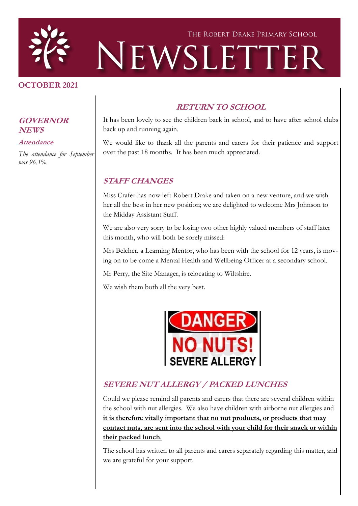

#### **OCTOBER 2021**

#### **GOVERNOR NEWS**

#### **Attendance**

*The attendance for September was 96.1%.*

#### **RETURN TO SCHOOL**

It has been lovely to see the children back in school, and to have after school clubs back up and running again.

We would like to thank all the parents and carers for their patience and support over the past 18 months. It has been much appreciated.

#### **STAFF CHANGES**

Miss Crafer has now left Robert Drake and taken on a new venture, and we wish her all the best in her new position; we are delighted to welcome Mrs Johnson to the Midday Assistant Staff.

We are also very sorry to be losing two other highly valued members of staff later this month, who will both be sorely missed:

Mrs Belcher, a Learning Mentor, who has been with the school for 12 years, is moving on to be come a Mental Health and Wellbeing Officer at a secondary school.

Mr Perry, the Site Manager, is relocating to Wiltshire.

We wish them both all the very best.



#### **SEVERE NUT ALLERGY / PACKED LUNCHES**

Could we please remind all parents and carers that there are several children within the school with nut allergies. We also have children with airborne nut allergies and **it is therefore vitally important that no nut products, or products that may contact nuts, are sent into the school with your child for their snack or within their packed lunch**.

The school has written to all parents and carers separately regarding this matter, and we are grateful for your support.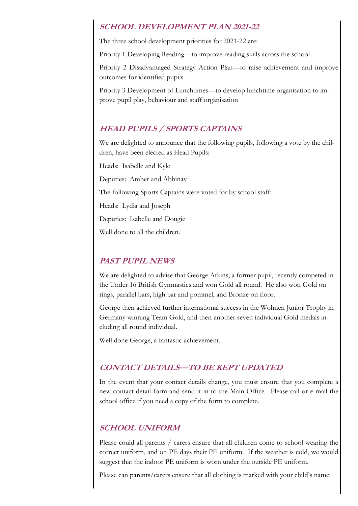#### **SCHOOL DEVELOPMENT PLAN 2021-22**

The three school development priorities for 2021-22 are:

Priority 1 Developing Reading—to improve reading skills across the school

Priority 2 Disadvantaged Strategy Action Plan—to raise achievement and improve outcomes for identified pupils

Priority 3 Development of Lunchtimes—to develop lunchtime organisation to improve pupil play, behaviour and staff organisation

### **HEAD PUPILS / SPORTS CAPTAINS**

We are delighted to announce that the following pupils, following a vote by the children, have been elected as Head Pupils:

Heads: Isabelle and Kyle

Deputies: Amber and Abhinav

The following Sports Captains were voted for by school staff:

Heads: Lydia and Joseph

Deputies: Isabelle and Dougie

Well done to all the children.

#### **PAST PUPIL NEWS**

We are delighted to advise that George Atkins, a former pupil, recently competed in the Under 16 British Gymnastics and won Gold all round. He also won Gold on rings, parallel bars, high bar and pommel, and Bronze on floor.

George then achieved further international success in the Wohnen Junior Trophy in Germany winning Team Gold, and then another seven individual Gold medals including all round individual.

Well done George, a fantastic achievement.

# **CONTACT DETAILS—TO BE KEPT UPDATED**

In the event that your contact details change, you must ensure that you complete a new contact detail form and send it in to the Main Office. Please call or e-mail the school office if you need a copy of the form to complete.

### **SCHOOL UNIFORM**

Please could all parents / carers ensure that all children come to school wearing the correct uniform, and on PE days their PE uniform. If the weather is cold, we would suggest that the indoor PE uniform is worn under the outside PE uniform.

Please can parents/carers ensure that all clothing is marked with your child's name.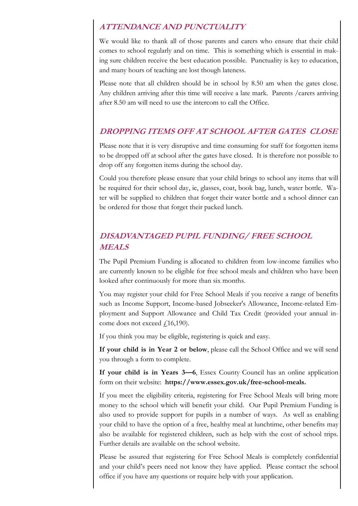### **ATTENDANCE AND PUNCTUALITY**

We would like to thank all of those parents and carers who ensure that their child comes to school regularly and on time. This is something which is essential in making sure children receive the best education possible. Punctuality is key to education, and many hours of teaching are lost though lateness.

Please note that all children should be in school by 8.50 am when the gates close. Any children arriving after this time will receive a late mark. Parents /carers arriving after 8.50 am will need to use the intercom to call the Office.

#### **DROPPING ITEMS OFF AT SCHOOL AFTER GATES CLOSE**

Please note that it is very disruptive and time consuming for staff for forgotten items to be dropped off at school after the gates have closed. It is therefore not possible to drop off any forgotten items during the school day.

Could you therefore please ensure that your child brings to school any items that will be required for their school day, ie, glasses, coat, book bag, lunch, water bottle. Water will be supplied to children that forget their water bottle and a school dinner can be ordered for those that forget their packed lunch.

# **DISADVANTAGED PUPIL FUNDING/ FREE SCHOOL MEALS**

The Pupil Premium Funding is allocated to children from low-income families who are currently known to be eligible for free school meals and children who have been looked after continuously for more than six months.

You may register your child for Free School Meals if you receive a range of benefits such as Income Support, Income-based Jobseeker's Allowance, Income-related Employment and Support Allowance and Child Tax Credit (provided your annual income does not exceed  $f(16,190)$ .

If you think you may be eligible, registering is quick and easy.

**If your child is in Year 2 or below**, please call the School Office and we will send you through a form to complete.

**If your child is in Years 3—6**, Essex County Council has an online application form on their website: **https://www.essex.gov.uk/free-school-meals.**

If you meet the eligibility criteria, registering for Free School Meals will bring more money to the school which will benefit your child. Our Pupil Premium Funding is also used to provide support for pupils in a number of ways. As well as enabling your child to have the option of a free, healthy meal at lunchtime, other benefits may also be available for registered children, such as help with the cost of school trips. Further details are available on the school website.

Please be assured that registering for Free School Meals is completely confidential and your child's peers need not know they have applied. Please contact the school office if you have any questions or require help with your application.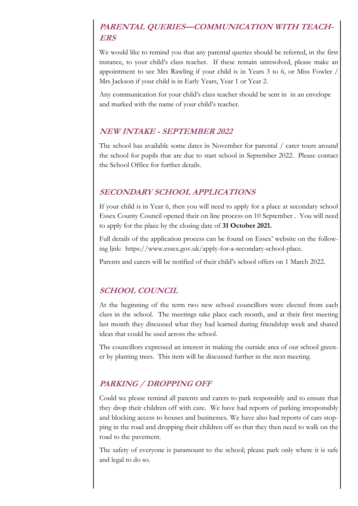# **PARENTAL OUERIES-COMMUNICATION WITH TEACH-ERS**

We would like to remind you that any parental queries should be referred, in the first instance, to your child's class teacher. If these remain unresolved, please make an appointment to see Mrs Rawling if your child is in Years 3 to 6, or Miss Fowler / Mrs Jackson if your child is in Early Years, Year 1 or Year 2.

Any communication for your child's class teacher should be sent in in an envelope and marked with the name of your child's teacher.

#### **NEW INTAKE - SEPTEMBER 2022**

The school has available some dates in November for parental / carer tours around the school for pupils that are due to start school in September 2022. Please contact the School Office for further details.

#### **SECONDARY SCHOOL APPLICATIONS**

If your child is in Year 6, then you will need to apply for a place at secondary school Essex County Council opened their on line process on 10 September . You will need to apply for the place by the closing date of **31 October 2021.**

Full details of the application process can be found on Essex' website on the following ljnk: https://www.essex.gov.uk/apply-for-a-secondary-school-place.

Parents and carers will be notified of their child's school offers on 1 March 2022.

### **SCHOOL COUNCIL**

At the beginning of the term two new school councillors were elected from each class in the school. The meetings take place each month, and at their first meeting last month they discussed what they had learned during friendship week and shared ideas that could be used across the school.

The councillors expressed an interest in making the outside area of our school greener by planting trees. This item will be discussed further in the next meeting.

# **PARKING / DROPPING OFF**

Could we please remind all parents and carers to park responsibly and to ensure that they drop their children off with care. We have had reports of parking irresponsibly and blocking access to houses and businesses. We have also had reports of cars stopping in the road and dropping their children off so that they then need to walk on the road to the pavement.

The safety of everyone is paramount to the school; please park only where it is safe and legal to do so.